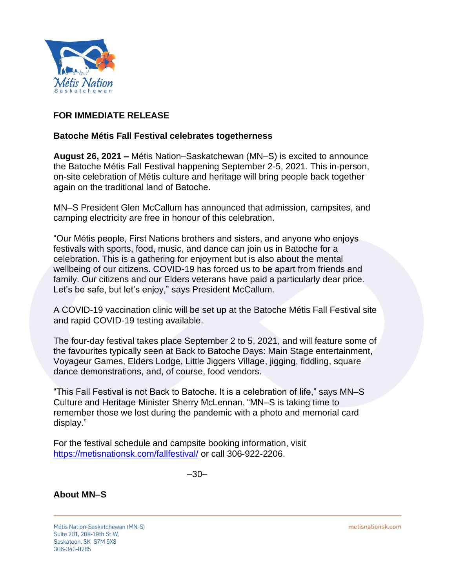

## **FOR IMMEDIATE RELEASE**

## **Batoche Métis Fall Festival celebrates togetherness**

**August 26, 2021 –** Métis Nation–Saskatchewan (MN–S) is excited to announce the Batoche Métis Fall Festival happening September 2-5, 2021. This in-person, on-site celebration of Métis culture and heritage will bring people back together again on the traditional land of Batoche.

MN–S President Glen McCallum has announced that admission, campsites, and camping electricity are free in honour of this celebration.

"Our Métis people, First Nations brothers and sisters, and anyone who enjoys festivals with sports, food, music, and dance can join us in Batoche for a celebration. This is a gathering for enjoyment but is also about the mental wellbeing of our citizens. COVID-19 has forced us to be apart from friends and family. Our citizens and our Elders veterans have paid a particularly dear price. Let's be safe, but let's enjoy," says President McCallum.

A COVID-19 vaccination clinic will be set up at the Batoche Métis Fall Festival site and rapid COVID-19 testing available.

The four-day festival takes place September 2 to 5, 2021, and will feature some of the favourites typically seen at Back to Batoche Days: Main Stage entertainment, Voyageur Games, Elders Lodge, Little Jiggers Village, jigging, fiddling, square dance demonstrations, and, of course, food vendors.

"This Fall Festival is not Back to Batoche. It is a celebration of life," says MN–S Culture and Heritage Minister Sherry McLennan. "MN–S is taking time to remember those we lost during the pandemic with a photo and memorial card display."

For the festival schedule and campsite booking information, visit <https://metisnationsk.com/fallfestival/> or call 306-922-2206.

–30–

## **About MN–S**

Métis Nation-Saskatchewan (MN-S) Suite 201, 208-19th St W, Saskatoon, SK S7M 5X8 306-343-8285

metisnationsk.com